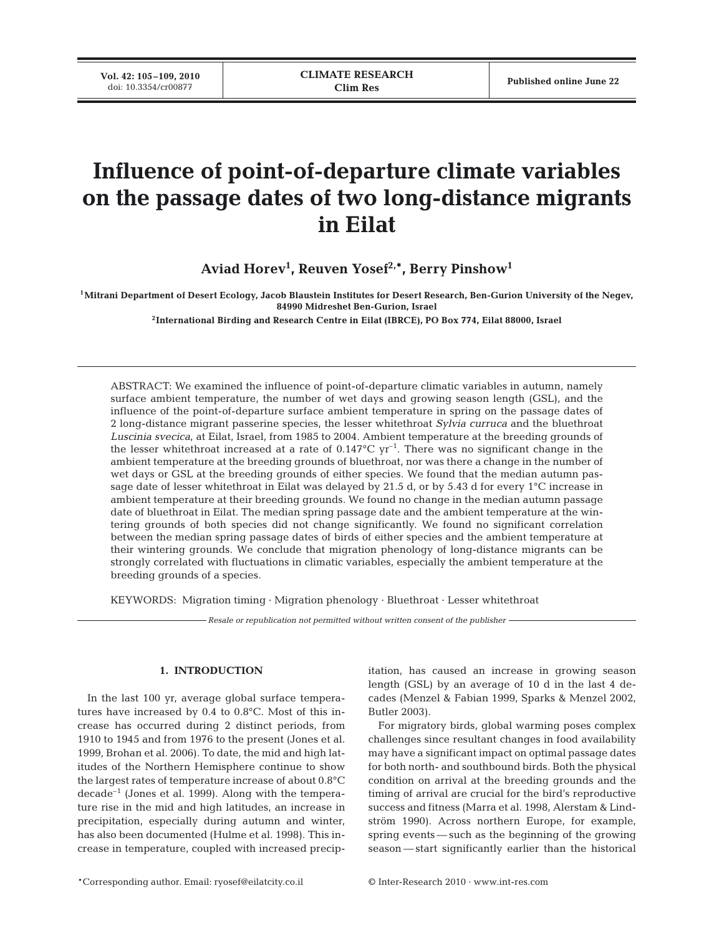**Vol. 42: 105-109, 2010**<br>doi: 10.3354/cr00877

# **Influence of point-of-departure climate variables on the passage dates of two long-distance migrants in Eilat**

**Aviad Horev1 , Reuven Yosef2,\*, Berry Pinshow1**

**1Mitrani Department of Desert Ecology, Jacob Blaustein Institutes for Desert Research, Ben-Gurion University of the Negev, 84990 Midreshet Ben-Gurion, Israel**

**2International Birding and Research Centre in Eilat (IBRCE), PO Box 774, Eilat 88000, Israel** 

ABSTRACT: We examined the influence of point-of-departure climatic variables in autumn, namely surface ambient temperature, the number of wet days and growing season length (GSL), and the influence of the point-of-departure surface ambient temperature in spring on the passage dates of 2 long-distance migrant passerine species, the lesser whitethroat *Sylvia curruca* and the bluethroat *Luscinia svecica*, at Eilat, Israel, from 1985 to 2004. Ambient temperature at the breeding grounds of the lesser whitethroat increased at a rate of  $0.147^{\circ}$ C yr<sup>-1</sup>. There was no significant change in the ambient temperature at the breeding grounds of bluethroat, nor was there a change in the number of wet days or GSL at the breeding grounds of either species. We found that the median autumn passage date of lesser whitethroat in Eilat was delayed by 21.5 d, or by 5.43 d for every 1°C increase in ambient temperature at their breeding grounds. We found no change in the median autumn passage date of bluethroat in Eilat. The median spring passage date and the ambient temperature at the wintering grounds of both species did not change significantly. We found no significant correlation between the median spring passage dates of birds of either species and the ambient temperature at their wintering grounds. We conclude that migration phenology of long-distance migrants can be strongly correlated with fluctuations in climatic variables, especially the ambient temperature at the breeding grounds of a species.

KEYWORDS: Migration timing · Migration phenology · Bluethroat · Lesser whitethroat

*Resale or republication not permitted without written consent of the publisher*

# **1. INTRODUCTION**

In the last 100 yr, average global surface temperatures have increased by 0.4 to 0.8°C. Most of this increase has occurred during 2 distinct periods, from 1910 to 1945 and from 1976 to the present (Jones et al. 1999, Brohan et al. 2006). To date, the mid and high latitudes of the Northern Hemisphere continue to show the largest rates of temperature increase of about 0.8°C decade–1 (Jones et al. 1999). Along with the temperature rise in the mid and high latitudes, an increase in precipitation, especially during autumn and winter, has also been documented (Hulme et al. 1998). This increase in temperature, coupled with increased precipitation, has caused an increase in growing season length (GSL) by an average of 10 d in the last 4 decades (Menzel & Fabian 1999, Sparks & Menzel 2002, Butler 2003).

For migratory birds, global warming poses complex challenges since resultant changes in food availability may have a significant impact on optimal passage dates for both north- and southbound birds. Both the physical condition on arrival at the breeding grounds and the timing of arrival are crucial for the bird's reproductive success and fitness (Marra et al. 1998, Alerstam & Lindström 1990). Across northern Europe, for example, spring events — such as the beginning of the growing season — start significantly earlier than the historical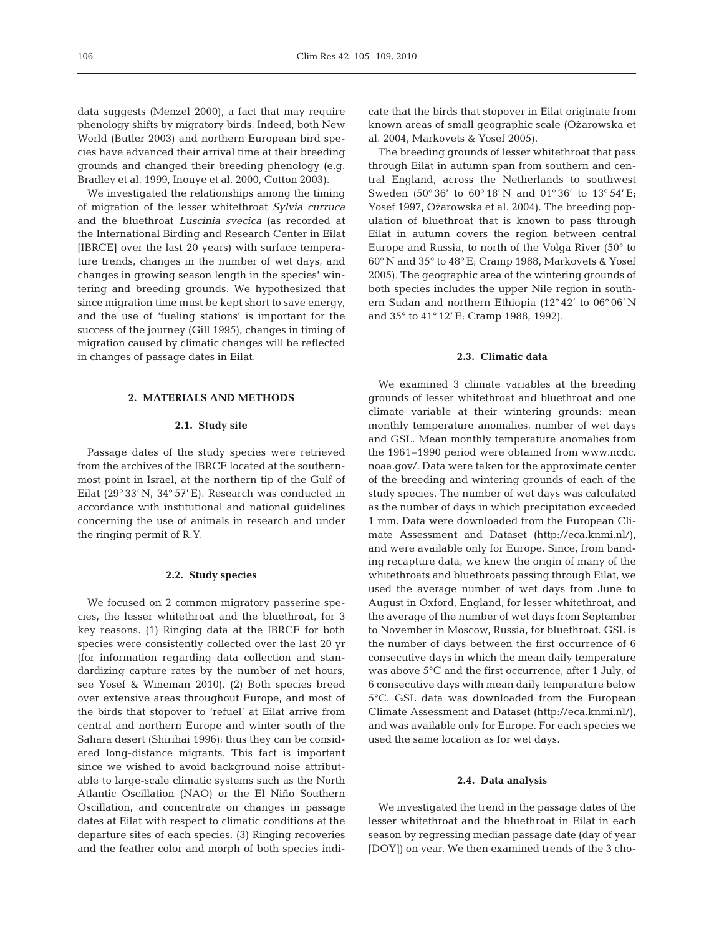data suggests (Menzel 2000), a fact that may require phenology shifts by migratory birds. Indeed, both New World (Butler 2003) and northern European bird species have advanced their arrival time at their breeding grounds and changed their breeding phenology (e.g. Bradley et al. 1999, Inouye et al. 2000, Cotton 2003).

We investigated the relationships among the timing of migration of the lesser whitethroat *Sylvia curruca* and the bluethroat *Luscinia svecica* (as recorded at the International Birding and Research Center in Eilat [IBRCE] over the last 20 years) with surface temperature trends, changes in the number of wet days, and changes in growing season length in the species' wintering and breeding grounds. We hypothesized that since migration time must be kept short to save energy, and the use of 'fueling stations' is important for the success of the journey (Gill 1995), changes in timing of migration caused by climatic changes will be reflected in changes of passage dates in Eilat.

## **2. MATERIALS AND METHODS**

### **2.1. Study site**

Passage dates of the study species were retrieved from the archives of the IBRCE located at the southernmost point in Israel, at the northern tip of the Gulf of Eilat (29° 33' N, 34° 57' E). Research was conducted in accordance with institutional and national guidelines concerning the use of animals in research and under the ringing permit of R.Y.

#### **2.2. Study species**

We focused on 2 common migratory passerine species, the lesser whitethroat and the bluethroat, for 3 key reasons. (1) Ringing data at the IBRCE for both species were consistently collected over the last 20 yr (for information regarding data collection and standardizing capture rates by the number of net hours, see Yosef & Wineman 2010). (2) Both species breed over extensive areas throughout Europe, and most of the birds that stopover to 'refuel' at Eilat arrive from central and northern Europe and winter south of the Sahara desert (Shirihai 1996); thus they can be considered long-distance migrants. This fact is important since we wished to avoid background noise attributable to large-scale climatic systems such as the North Atlantic Oscillation (NAO) or the El Niño Southern Oscillation, and concentrate on changes in passage dates at Eilat with respect to climatic conditions at the departure sites of each species. (3) Ringing recoveries and the feather color and morph of both species indicate that the birds that stopover in Eilat originate from known areas of small geographic scale (Ozarowska et al. 2004, Markovets & Yosef 2005).

The breeding grounds of lesser whitethroat that pass through Eilat in autumn span from southern and central England, across the Netherlands to southwest Sweden (50° 36' to 60° 18' N and 01° 36' to 13° 54' E; Yosef 1997, Ożarowska et al. 2004). The breeding population of bluethroat that is known to pass through Eilat in autumn covers the region between central Europe and Russia, to north of the Volga River (50° to 60° N and 35° to 48° E; Cramp 1988, Markovets & Yosef 2005). The geographic area of the wintering grounds of both species includes the upper Nile region in southern Sudan and northern Ethiopia (12° 42' to 06° 06' N and 35° to 41° 12' E; Cramp 1988, 1992).

### **2.3. Climatic data**

We examined 3 climate variables at the breeding grounds of lesser whitethroat and bluethroat and one climate variable at their wintering grounds: mean monthly temperature anomalies, number of wet days and GSL. Mean monthly temperature anomalies from the 1961–1990 period were obtained from www.ncdc. noaa.gov/. Data were taken for the approximate center of the breeding and wintering grounds of each of the study species. The number of wet days was calculated as the number of days in which precipitation exceeded 1 mm. Data were downloaded from the European Climate Assessment and Dataset (http://eca.knmi.nl/), and were available only for Europe. Since, from banding recapture data, we knew the origin of many of the whitethroats and bluethroats passing through Eilat, we used the average number of wet days from June to August in Oxford, England, for lesser whitethroat, and the average of the number of wet days from September to November in Moscow, Russia, for bluethroat. GSL is the number of days between the first occurrence of 6 consecutive days in which the mean daily temperature was above 5°C and the first occurrence, after 1 July, of 6 consecutive days with mean daily temperature below 5°C. GSL data was downloaded from the European Climate Assessment and Dataset (http://eca.knmi.nl/), and was available only for Europe. For each species we used the same location as for wet days.

## **2.4. Data analysis**

We investigated the trend in the passage dates of the lesser whitethroat and the bluethroat in Eilat in each season by regressing median passage date (day of year [DOY]) on year. We then examined trends of the 3 cho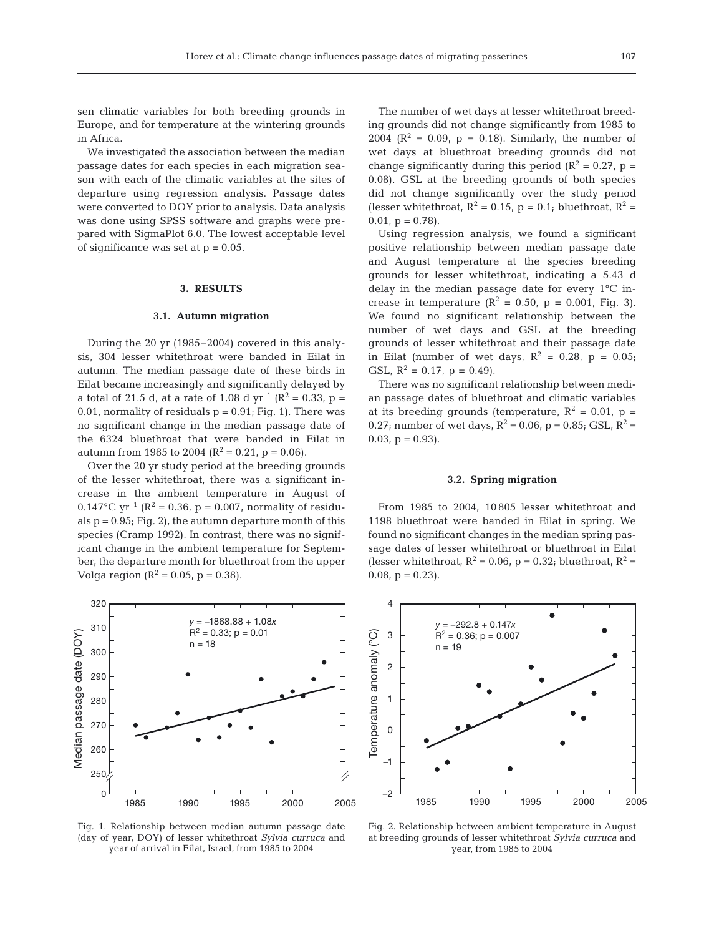sen climatic variables for both breeding grounds in Europe, and for temperature at the wintering grounds in Africa.

We investigated the association between the median passage dates for each species in each migration season with each of the climatic variables at the sites of departure using regression analysis. Passage dates were converted to DOY prior to analysis. Data analysis was done using SPSS software and graphs were prepared with SigmaPlot 6.0. The lowest acceptable level of significance was set at  $p = 0.05$ .

# **3. RESULTS**

## **3.1. Autumn migration**

During the 20 yr (1985–2004) covered in this analysis, 304 lesser whitethroat were banded in Eilat in autumn. The median passage date of these birds in Eilat became increasingly and significantly delayed by a total of 21.5 d, at a rate of 1.08 d  $yr^{-1}$  (R<sup>2</sup> = 0.33, p = 0.01, normality of residuals  $p = 0.91$ ; Fig. 1). There was no significant change in the median passage date of the 6324 bluethroat that were banded in Eilat in autumn from 1985 to 2004 ( $R^2 = 0.21$ , p = 0.06).

Over the 20 yr study period at the breeding grounds of the lesser whitethroat, there was a significant increase in the ambient temperature in August of 0.147°C yr<sup>-1</sup> ( $R^2$  = 0.36, p = 0.007, normality of residuals  $p = 0.95$ ; Fig. 2), the autumn departure month of this species (Cramp 1992). In contrast, there was no significant change in the ambient temperature for September, the departure month for bluethroat from the upper Volga region ( $R^2 = 0.05$ ,  $p = 0.38$ ).



Fig. 1. Relationship between median autumn passage date (day of year, DOY) of lesser whitethroat *Sylvia curruca* and year of arrival in Eilat, Israel, from 1985 to 2004

The number of wet days at lesser whitethroat breeding grounds did not change significantly from 1985 to 2004 ( $\mathbb{R}^2 = 0.09$ ,  $p = 0.18$ ). Similarly, the number of wet days at bluethroat breeding grounds did not change significantly during this period ( $R^2 = 0.27$ , p = 0.08). GSL at the breeding grounds of both species did not change significantly over the study period (lesser whitethroat,  $R^2 = 0.15$ ,  $p = 0.1$ ; bluethroat,  $R^2 =$  $0.01$ ,  $p = 0.78$ ).

Using regression analysis, we found a significant positive relationship between median passage date and August temperature at the species breeding grounds for lesser whitethroat, indicating a 5.43 d delay in the median passage date for every 1°C increase in temperature ( $R^2 = 0.50$ ,  $p = 0.001$ , Fig. 3). We found no significant relationship between the number of wet days and GSL at the breeding grounds of lesser whitethroat and their passage date in Eilat (number of wet days,  $R^2 = 0.28$ ,  $p = 0.05$ ; GSL,  $R^2 = 0.17$ ,  $p = 0.49$ ).

There was no significant relationship between median passage dates of bluethroat and climatic variables at its breeding grounds (temperature,  $R^2 = 0.01$ , p = 0.27; number of wet days,  $R^2 = 0.06$ ,  $p = 0.85$ ; GSL,  $R^2 =$  $0.03$ ,  $p = 0.93$ ).

#### **3.2. Spring migration**

From 1985 to 2004, 10 805 lesser whitethroat and 1198 bluethroat were banded in Eilat in spring. We found no significant changes in the median spring passage dates of lesser whitethroat or bluethroat in Eilat (lesser whitethroat,  $R^2 = 0.06$ ,  $p = 0.32$ ; bluethroat,  $R^2 =$ 0.08,  $p = 0.23$ .



Fig. 2. Relationship between ambient temperature in August at breeding grounds of lesser whitethroat *Sylvia curruca* and year, from 1985 to 2004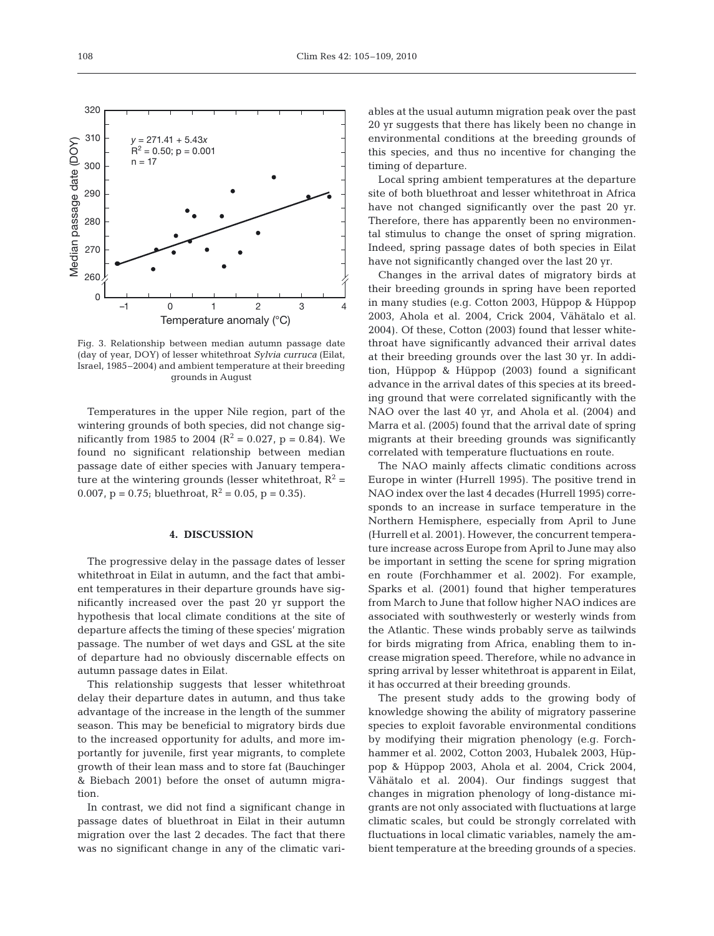

Fig. 3. Relationship between median autumn passage date (day of year, DOY) of lesser whitethroat *Sylvia curruca* (Eilat, Israel, 1985–2004) and ambient temperature at their breeding grounds in August

Temperatures in the upper Nile region, part of the wintering grounds of both species, did not change significantly from 1985 to 2004 ( $R^2 = 0.027$ ,  $p = 0.84$ ). We found no significant relationship between median passage date of either species with January temperature at the wintering grounds (lesser whitethroat,  $R^2$  = 0.007,  $p = 0.75$ ; bluethroat,  $R^2 = 0.05$ ,  $p = 0.35$ ).

### **4. DISCUSSION**

The progressive delay in the passage dates of lesser whitethroat in Eilat in autumn, and the fact that ambient temperatures in their departure grounds have significantly increased over the past 20 yr support the hypothesis that local climate conditions at the site of departure affects the timing of these species' migration passage. The number of wet days and GSL at the site of departure had no obviously discernable effects on autumn passage dates in Eilat.

This relationship suggests that lesser whitethroat delay their departure dates in autumn, and thus take advantage of the increase in the length of the summer season. This may be beneficial to migratory birds due to the increased opportunity for adults, and more importantly for juvenile, first year migrants, to complete growth of their lean mass and to store fat (Bauchinger & Biebach 2001) before the onset of autumn migration.

In contrast, we did not find a significant change in passage dates of bluethroat in Eilat in their autumn migration over the last 2 decades. The fact that there was no significant change in any of the climatic variables at the usual autumn migration peak over the past 20 yr suggests that there has likely been no change in environmental conditions at the breeding grounds of this species, and thus no incentive for changing the timing of departure.

Local spring ambient temperatures at the departure site of both bluethroat and lesser whitethroat in Africa have not changed significantly over the past 20 yr. Therefore, there has apparently been no environmental stimulus to change the onset of spring migration. Indeed, spring passage dates of both species in Eilat have not significantly changed over the last 20 yr.

Changes in the arrival dates of migratory birds at their breeding grounds in spring have been reported in many studies (e.g. Cotton 2003, Hüppop & Hüppop 2003, Ahola et al. 2004, Crick 2004, Vähätalo et al. 2004). Of these, Cotton (2003) found that lesser whitethroat have significantly advanced their arrival dates at their breeding grounds over the last 30 yr. In addition, Hüppop & Hüppop (2003) found a significant advance in the arrival dates of this species at its breeding ground that were correlated significantly with the NAO over the last 40 yr, and Ahola et al. (2004) and Marra et al. (2005) found that the arrival date of spring migrants at their breeding grounds was significantly correlated with temperature fluctuations en route.

The NAO mainly affects climatic conditions across Europe in winter (Hurrell 1995). The positive trend in NAO index over the last 4 decades (Hurrell 1995) corresponds to an increase in surface temperature in the Northern Hemisphere, especially from April to June (Hurrell et al. 2001). However, the concurrent temperature increase across Europe from April to June may also be important in setting the scene for spring migration en route (Forchhammer et al. 2002). For example, Sparks et al. (2001) found that higher temperatures from March to June that follow higher NAO indices are associated with southwesterly or westerly winds from the Atlantic. These winds probably serve as tailwinds for birds migrating from Africa, enabling them to increase migration speed. Therefore, while no advance in spring arrival by lesser whitethroat is apparent in Eilat, it has occurred at their breeding grounds.

The present study adds to the growing body of knowledge showing the ability of migratory passerine species to exploit favorable environmental conditions by modifying their migration phenology (e.g. Forchhammer et al. 2002, Cotton 2003, Hubalek 2003, Hüppop & Hüppop 2003, Ahola et al. 2004, Crick 2004, Vähätalo et al. 2004). Our findings suggest that changes in migration phenology of long-distance migrants are not only associated with fluctuations at large climatic scales, but could be strongly correlated with fluctuations in local climatic variables, namely the ambient temperature at the breeding grounds of a species.